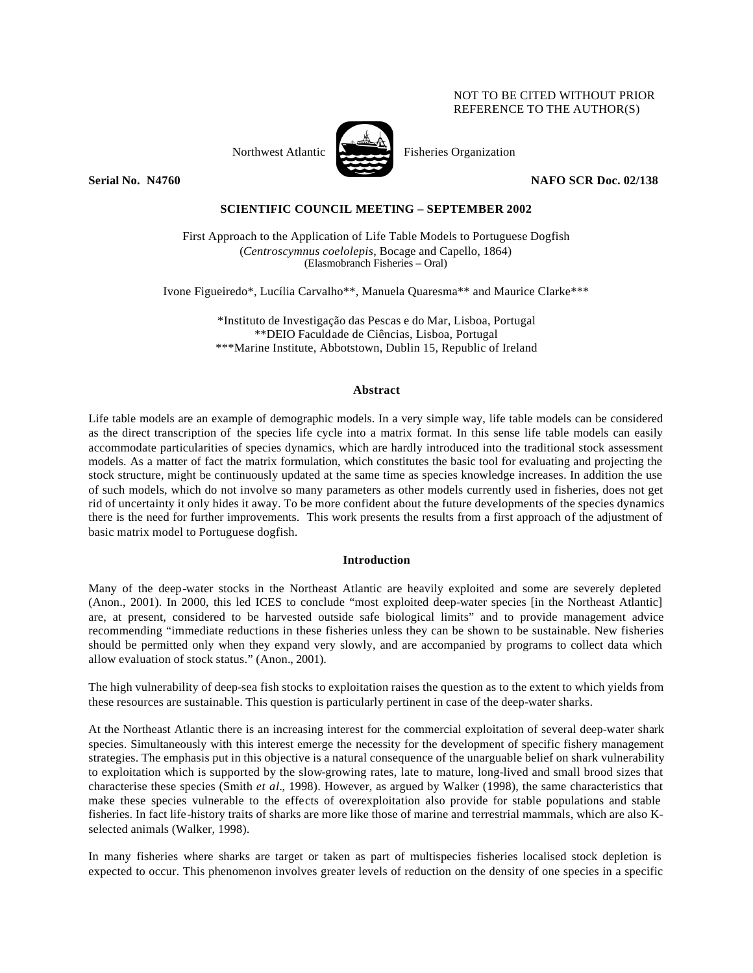### NOT TO BE CITED WITHOUT PRIOR REFERENCE TO THE AUTHOR(S)



Northwest Atlantic Fisheries Organization

**Serial No. N4760 NAFO SCR Doc. 02/138**

## **SCIENTIFIC COUNCIL MEETING – SEPTEMBER 2002**

First Approach to the Application of Life Table Models to Portuguese Dogfish (*Centroscymnus coelolepis*, Bocage and Capello, 1864) (Elasmobranch Fisheries – Oral)

Ivone Figueiredo\*, Lucília Carvalho\*\*, Manuela Quaresma\*\* and Maurice Clarke\*\*\*

\*Instituto de Investigação das Pescas e do Mar, Lisboa, Portugal \*\*DEIO Faculdade de Ciências, Lisboa, Portugal \*\*\*Marine Institute, Abbotstown, Dublin 15, Republic of Ireland

#### **Abstract**

Life table models are an example of demographic models. In a very simple way, life table models can be considered as the direct transcription of the species life cycle into a matrix format. In this sense life table models can easily accommodate particularities of species dynamics, which are hardly introduced into the traditional stock assessment models. As a matter of fact the matrix formulation, which constitutes the basic tool for evaluating and projecting the stock structure, might be continuously updated at the same time as species knowledge increases. In addition the use of such models, which do not involve so many parameters as other models currently used in fisheries, does not get rid of uncertainty it only hides it away. To be more confident about the future developments of the species dynamics there is the need for further improvements. This work presents the results from a first approach of the adjustment of basic matrix model to Portuguese dogfish.

### **Introduction**

Many of the deep-water stocks in the Northeast Atlantic are heavily exploited and some are severely depleted (Anon., 2001). In 2000, this led ICES to conclude "most exploited deep-water species [in the Northeast Atlantic] are, at present, considered to be harvested outside safe biological limits" and to provide management advice recommending "immediate reductions in these fisheries unless they can be shown to be sustainable. New fisheries should be permitted only when they expand very slowly, and are accompanied by programs to collect data which allow evaluation of stock status." (Anon., 2001).

The high vulnerability of deep-sea fish stocks to exploitation raises the question as to the extent to which yields from these resources are sustainable. This question is particularly pertinent in case of the deep-water sharks.

At the Northeast Atlantic there is an increasing interest for the commercial exploitation of several deep-water shark species. Simultaneously with this interest emerge the necessity for the development of specific fishery management strategies. The emphasis put in this objective is a natural consequence of the unarguable belief on shark vulnerability to exploitation which is supported by the slow-growing rates, late to mature, long-lived and small brood sizes that characterise these species (Smith *et al.*, 1998). However, as argued by Walker (1998), the same characteristics that make these species vulnerable to the effects of overexploitation also provide for stable populations and stable fisheries. In fact life-history traits of sharks are more like those of marine and terrestrial mammals, which are also Kselected animals (Walker, 1998).

In many fisheries where sharks are target or taken as part of multispecies fisheries localised stock depletion is expected to occur. This phenomenon involves greater levels of reduction on the density of one species in a specific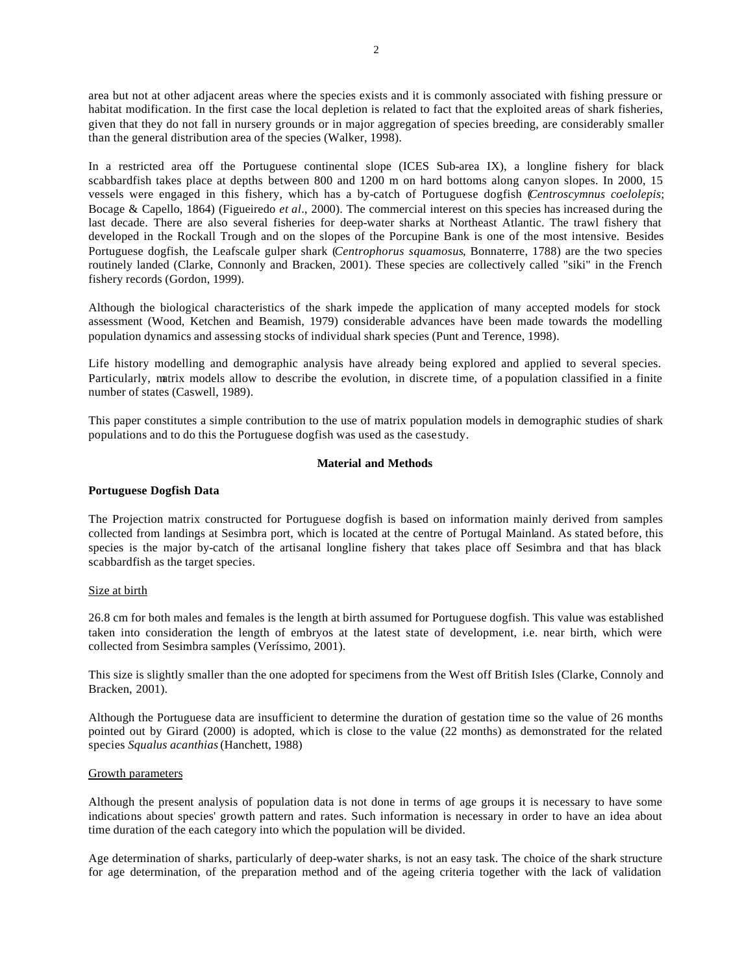area but not at other adjacent areas where the species exists and it is commonly associated with fishing pressure or habitat modification. In the first case the local depletion is related to fact that the exploited areas of shark fisheries, given that they do not fall in nursery grounds or in major aggregation of species breeding, are considerably smaller than the general distribution area of the species (Walker, 1998).

In a restricted area off the Portuguese continental slope (ICES Sub-area IX), a longline fishery for black scabbardfish takes place at depths between 800 and 1200 m on hard bottoms along canyon slopes. In 2000, 15 vessels were engaged in this fishery, which has a by-catch of Portuguese dogfish (*Centroscymnus coelolepis*; Bocage & Capello, 1864) (Figueiredo *et al*., 2000). The commercial interest on this species has increased during the last decade. There are also several fisheries for deep-water sharks at Northeast Atlantic. The trawl fishery that developed in the Rockall Trough and on the slopes of the Porcupine Bank is one of the most intensive. Besides Portuguese dogfish, the Leafscale gulper shark (*Centrophorus squamosus*, Bonnaterre, 1788) are the two species routinely landed (Clarke, Connonly and Bracken, 2001). These species are collectively called "siki" in the French fishery records (Gordon, 1999).

Although the biological characteristics of the shark impede the application of many accepted models for stock assessment (Wood, Ketchen and Beamish, 1979) considerable advances have been made towards the modelling population dynamics and assessing stocks of individual shark species (Punt and Terence, 1998).

Life history modelling and demographic analysis have already being explored and applied to several species. Particularly, matrix models allow to describe the evolution, in discrete time, of a population classified in a finite number of states (Caswell, 1989).

This paper constitutes a simple contribution to the use of matrix population models in demographic studies of shark populations and to do this the Portuguese dogfish was used as the case study.

#### **Material and Methods**

### **Portuguese Dogfish Data**

The Projection matrix constructed for Portuguese dogfish is based on information mainly derived from samples collected from landings at Sesimbra port, which is located at the centre of Portugal Mainland. As stated before, this species is the major by-catch of the artisanal longline fishery that takes place off Sesimbra and that has black scabbardfish as the target species.

#### Size at birth

26.8 cm for both males and females is the length at birth assumed for Portuguese dogfish. This value was established taken into consideration the length of embryos at the latest state of development, i.e. near birth, which were collected from Sesimbra samples (Veríssimo, 2001).

This size is slightly smaller than the one adopted for specimens from the West off British Isles (Clarke, Connoly and Bracken, 2001).

Although the Portuguese data are insufficient to determine the duration of gestation time so the value of 26 months pointed out by Girard (2000) is adopted, which is close to the value (22 months) as demonstrated for the related species *Squalus acanthias* (Hanchett, 1988)

#### Growth parameters

Although the present analysis of population data is not done in terms of age groups it is necessary to have some indications about species' growth pattern and rates. Such information is necessary in order to have an idea about time duration of the each category into which the population will be divided.

Age determination of sharks, particularly of deep-water sharks, is not an easy task. The choice of the shark structure for age determination, of the preparation method and of the ageing criteria together with the lack of validation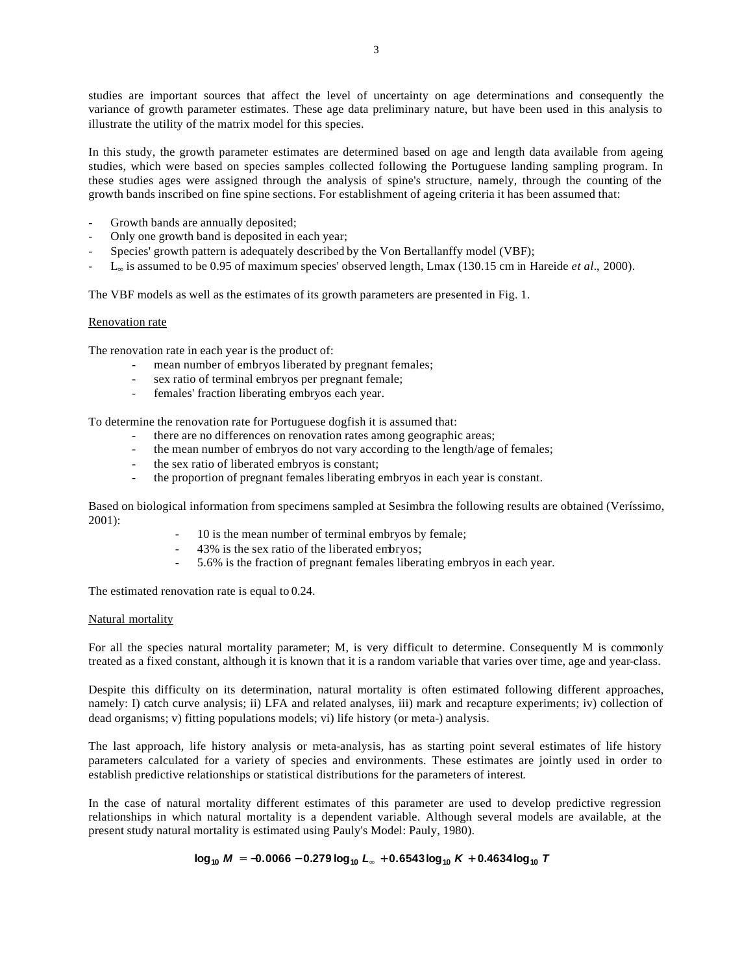studies are important sources that affect the level of uncertainty on age determinations and consequently the variance of growth parameter estimates. These age data preliminary nature, but have been used in this analysis to illustrate the utility of the matrix model for this species.

In this study, the growth parameter estimates are determined based on age and length data available from ageing studies, which were based on species samples collected following the Portuguese landing sampling program. In these studies ages were assigned through the analysis of spine's structure, namely, through the counting of the growth bands inscribed on fine spine sections. For establishment of ageing criteria it has been assumed that:

- Growth bands are annually deposited;
- Only one growth band is deposited in each year;
- Species' growth pattern is adequately described by the Von Bertallanffy model (VBF);
- L∞ is assumed to be 0.95 of maximum species' observed length, Lmax (130.15 cm in Hareide *et al.*, 2000).

The VBF models as well as the estimates of its growth parameters are presented in Fig. 1.

### Renovation rate

The renovation rate in each year is the product of:

- mean number of embryos liberated by pregnant females;
- sex ratio of terminal embryos per pregnant female;
- females' fraction liberating embryos each year.

To determine the renovation rate for Portuguese dogfish it is assumed that:

- there are no differences on renovation rates among geographic areas;
- the mean number of embryos do not vary according to the length/age of females;
- the sex ratio of liberated embryos is constant:
- the proportion of pregnant females liberating embryos in each year is constant.

Based on biological information from specimens sampled at Sesimbra the following results are obtained (Veríssimo, 2001):

- 10 is the mean number of terminal embryos by female;
- 43% is the sex ratio of the liberated embryos;
- 5.6% is the fraction of pregnant females liberating embryos in each year.

The estimated renovation rate is equal to 0.24.

### Natural mortality

For all the species natural mortality parameter; M, is very difficult to determine. Consequently M is commonly treated as a fixed constant, although it is known that it is a random variable that varies over time, age and year-class.

Despite this difficulty on its determination, natural mortality is often estimated following different approaches, namely: I) catch curve analysis; ii) LFA and related analyses, iii) mark and recapture experiments; iv) collection of dead organisms; v) fitting populations models; vi) life history (or meta-) analysis.

The last approach, life history analysis or meta-analysis, has as starting point several estimates of life history parameters calculated for a variety of species and environments. These estimates are jointly used in order to establish predictive relationships or statistical distributions for the parameters of interest.

In the case of natural mortality different estimates of this parameter are used to develop predictive regression relationships in which natural mortality is a dependent variable. Although several models are available, at the present study natural mortality is estimated using Pauly's Model: Pauly, 1980).

# $log_{10} M$  =  $-0.0066$  - 0.279  $log_{10} L_y$  + 0.6543 $log_{10} K$  + 0.4634 $log_{10} T$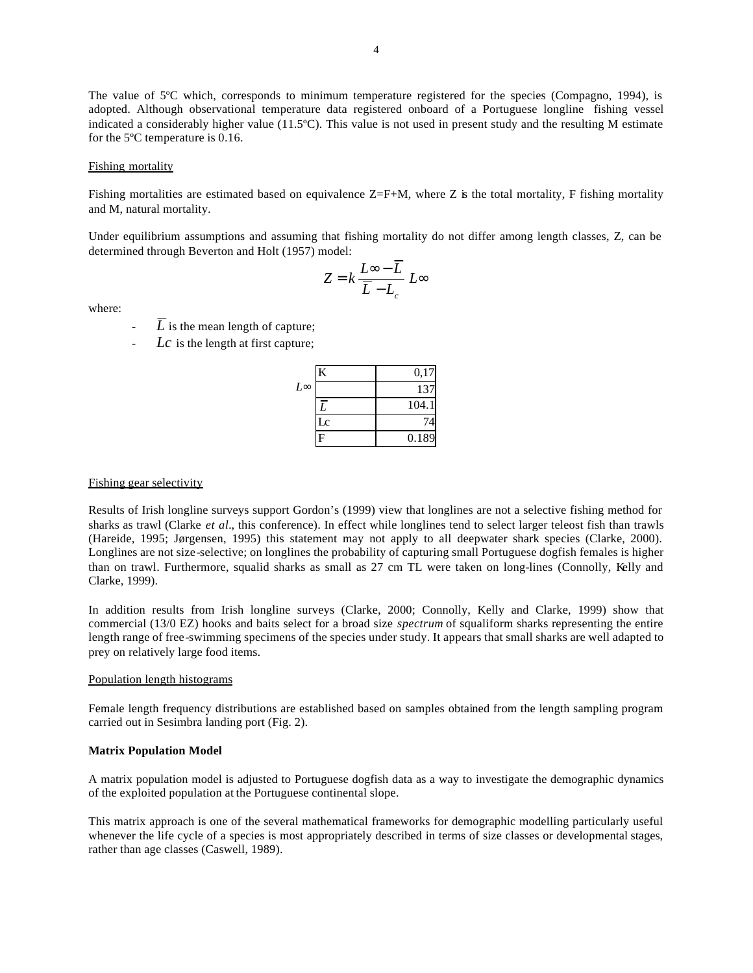The value of 5°C which, corresponds to minimum temperature registered for the species (Compagno, 1994), is adopted. Although observational temperature data registered onboard of a Portuguese longline fishing vessel indicated a considerably higher value (11.5ºC). This value is not used in present study and the resulting M estimate for the 5ºC temperature is 0.16.

#### Fishing mortality

Fishing mortalities are estimated based on equivalence  $Z=F+M$ , where Z is the total mortality, F fishing mortality and M, natural mortality.

Under equilibrium assumptions and assuming that fishing mortality do not differ among length classes, Z, can be determined through Beverton and Holt (1957) model:

$$
Z = k \frac{L \infty - \overline{L}}{\overline{L} - L_c} L \infty
$$

where:

- $\overline{L}$  is the mean length of capture;
- Lc is the length at first capture;

|              |    | 0,17  |
|--------------|----|-------|
| $L^{\infty}$ |    | 137   |
|              |    | 104.1 |
|              | Lc |       |
|              | H  | 0.189 |

#### Fishing gear selectivity

Results of Irish longline surveys support Gordon's (1999) view that longlines are not a selective fishing method for sharks as trawl (Clarke *et al.*, this conference). In effect while longlines tend to select larger teleost fish than trawls (Hareide, 1995; Jørgensen, 1995) this statement may not apply to all deepwater shark species (Clarke, 2000). Longlines are not size-selective; on longlines the probability of capturing small Portuguese dogfish females is higher than on trawl. Furthermore, squalid sharks as small as 27 cm TL were taken on long-lines (Connolly, Kelly and Clarke, 1999).

In addition results from Irish longline surveys (Clarke, 2000; Connolly, Kelly and Clarke, 1999) show that commercial (13/0 EZ) hooks and baits select for a broad size *spectrum* of squaliform sharks representing the entire length range of free-swimming specimens of the species under study. It appears that small sharks are well adapted to prey on relatively large food items.

#### Population length histograms

Female length frequency distributions are established based on samples obtained from the length sampling program carried out in Sesimbra landing port (Fig. 2).

### **Matrix Population Model**

A matrix population model is adjusted to Portuguese dogfish data as a way to investigate the demographic dynamics of the exploited population at the Portuguese continental slope.

This matrix approach is one of the several mathematical frameworks for demographic modelling particularly useful whenever the life cycle of a species is most appropriately described in terms of size classes or developmental stages, rather than age classes (Caswell, 1989).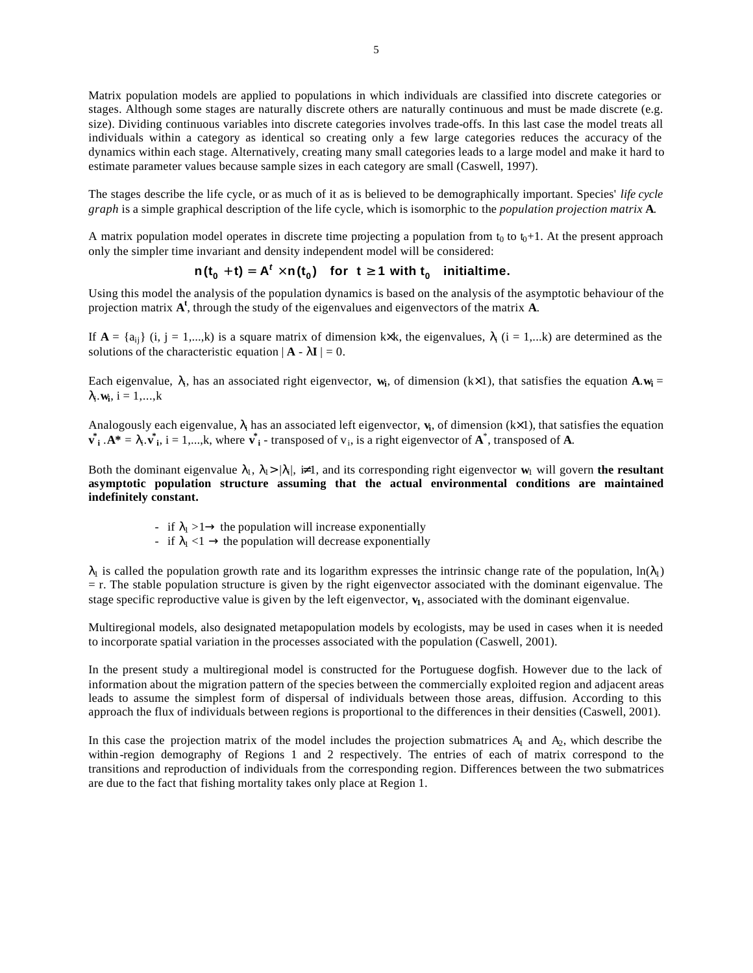Matrix population models are applied to populations in which individuals are classified into discrete categories or stages. Although some stages are naturally discrete others are naturally continuous and must be made discrete (e.g. size). Dividing continuous variables into discrete categories involves trade-offs. In this last case the model treats all individuals within a category as identical so creating only a few large categories reduces the accuracy of the dynamics within each stage. Alternatively, creating many small categories leads to a large model and make it hard to estimate parameter values because sample sizes in each category are small (Caswell, 1997).

The stages describe the life cycle, or as much of it as is believed to be demographically important. Species' *life cycle graph* is a simple graphical description of the life cycle, which is isomorphic to the *population projection matrix* **A***.*

A matrix population model operates in discrete time projecting a population from  $t_0$  to  $t_0+1$ . At the present approach only the simpler time invariant and density independent model will be considered:

 $n(t_0 + t) = A^t \n\hat{i} \cdot n(t_0)$  for  $t a$  1 with  $t_0$  initialtime.

Using this model the analysis of the population dynamics is based on the analysis of the asymptotic behaviour of the projection matrix  $A^t$ , through the study of the eigenvalues and eigenvectors of the matrix  $\overrightarrow{A}$ .

If  $A = \{a_{ij}\}\ (i, j = 1,...,k)$  is a square matrix of dimension k×k, the eigenvalues,  $\lambda_i$  (i = 1,...k) are determined as the solutions of the characteristic equation  $|\mathbf{A} - \lambda \mathbf{I}| = 0$ .

Each eigenvalue,  $\lambda_i$ , has an associated right eigenvector,  $w_i$ , of dimension (k×1), that satisfies the equation  $A w_i =$  $\lambda_i \cdot \mathbf{w_i}$ , i = 1,...,k

Analogously each eigenvalue,  $\lambda_i$  has an associated left eigenvector,  $v_i$ , of dimension ( $k \times 1$ ), that satisfies the equation  $\mathbf{v}_i^*$  .  $\mathbf{A}^* = \lambda_i \cdot \mathbf{v}_i^*$ ,  $i = 1,...,k$ , where  $\mathbf{v}_i^*$  - transposed of  $v_i$ , is a right eigenvector of  $\mathbf{A}^*$ , transposed of  $\mathbf{A}$ .

Both the dominant eigenvalue  $\lambda_1$ ,  $\lambda_2 > |\lambda_i|$ ,  $\neq 1$ , and its corresponding right eigenvector  $w_1$  will govern **the resultant asymptotic population structure assuming that the actual environmental conditions are maintained indefinitely constant.** 

- if  $\lambda_1 > 1 \rightarrow$  the population will increase exponentially
- if  $\lambda_1$  <1  $\rightarrow$  the population will decrease exponentially

 $\lambda_1$  is called the population growth rate and its logarithm expresses the intrinsic change rate of the population,  $\ln(\lambda_1)$ = r. The stable population structure is given by the right eigenvector associated with the dominant eigenvalue. The stage specific reproductive value is given by the left eigenvector,  $\bf{v}_1$ , associated with the dominant eigenvalue.

Multiregional models, also designated metapopulation models by ecologists, may be used in cases when it is needed to incorporate spatial variation in the processes associated with the population (Caswell, 2001).

In the present study a multiregional model is constructed for the Portuguese dogfish. However due to the lack of information about the migration pattern of the species between the commercially exploited region and adjacent areas leads to assume the simplest form of dispersal of individuals between those areas, diffusion. According to this approach the flux of individuals between regions is proportional to the differences in their densities (Caswell, 2001).

In this case the projection matrix of the model includes the projection submatrices  $A_1$  and  $A_2$ , which describe the within -region demography of Regions 1 and 2 respectively. The entries of each of matrix correspond to the transitions and reproduction of individuals from the corresponding region. Differences between the two submatrices are due to the fact that fishing mortality takes only place at Region 1.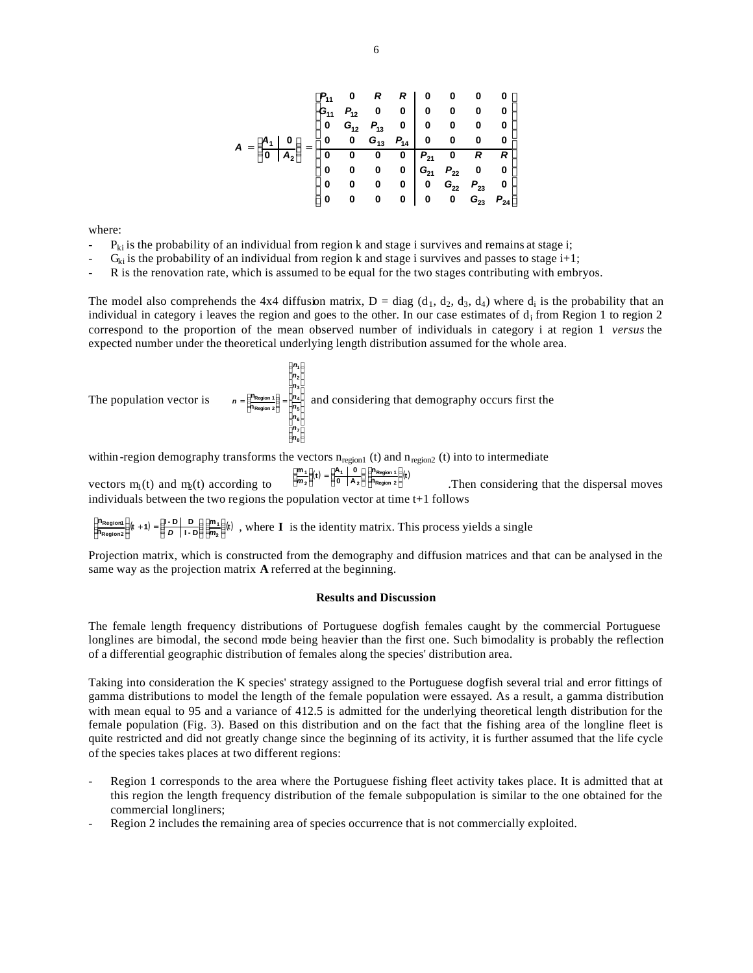**ú ú ú ú ú ú ú ú ú ú ú û ù ê ê ê ê ê ê ê ê ê ê ê ë é = ÷ ÷ ø ö ç ç è æ = 23 24 22 23 21 22 21 13 14 12 13 11 12 11 2 1 0 0 0 0 0 0 0 0 0 0 0 0 0 0 0 0 0 0 0 0 0 0 0 0 0 0 0 0 0 0 0 0 0 0 0 0 0 0 0 0 0 0 0 0 0 0 0 0** *G P G P G P P R R G P G P G P P R R A A A*

where:

- $P_{ki}$  is the probability of an individual from region k and stage i survives and remains at stage i;
- $G_{ki}$  is the probability of an individual from region k and stage i survives and passes to stage i+1;
- R is the renovation rate, which is assumed to be equal for the two stages contributing with embryos.

The model also comprehends the 4x4 diffusion matrix,  $D = diag (d_1, d_2, d_3, d_4)$  where  $d_i$  is the probability that an individual in category i leaves the region and goes to the other. In our case estimates of  $d_i$  from Region 1 to region 2 correspond to the proportion of the mean observed number of individuals in category i at region 1 *versus* the expected number under the theoretical underlying length distribution assumed for the whole area.

The population vector is 
$$
n = \frac{\epsilon^{n_1} \frac{\epsilon^{n_2}}{\epsilon^{n_1} \frac{\epsilon^{n_2}}{\epsilon^{n_3} \frac{\epsilon^{n_4}}{\epsilon^{n_5} \frac{\epsilon^{n_6}}{\epsilon^{n_6} \frac{\epsilon^{n_6}}{\epsilon^{n_6} \frac{\epsilon^{n_6}}{\epsilon^{n_6} \frac{\epsilon^{n_6}}{\epsilon^{n_6} \frac{\epsilon^{n_6}}{\epsilon^{n_6} \frac{\epsilon^{n_6}}{\epsilon^{n_6} \frac{\epsilon^{n_6}}{\epsilon^{n_6} \frac{\epsilon^{n_6}}{\epsilon^{n_6} \frac{\epsilon^{n_6}}{\epsilon^{n_6} \frac{\epsilon^{n_6}}{\epsilon^{n_6} \frac{\epsilon^{n_6}}{\epsilon^{n_6} \frac{\epsilon^{n_6}}{\epsilon^{n_6} \frac{\epsilon^{n_6}}{\epsilon^{n_6} \frac{\epsilon^{n_6}}{\epsilon^{n_6} \frac{\epsilon^{n_6}}{\epsilon^{n_6} \frac{\epsilon^{n_6}}{\epsilon^{n_6} \frac{\epsilon^{n_6}}{\epsilon^{n_6} \frac{\epsilon^{n_6}}{\epsilon^{n_6} \frac{\epsilon^{n_6}}{\epsilon^{n_6} \frac{\epsilon^{n_6}}{\epsilon^{n_6} \frac{\epsilon^{n_6}}{\epsilon^{n_6} \frac{\epsilon^{n_6}}{\epsilon^{n_6} \frac{\epsilon^{n_6}}{\epsilon^{n_6} \frac{\epsilon^{n_6}}{\epsilon^{n_6} \frac{\epsilon^{n_6}}{\epsilon^{n_6} \frac{\epsilon^{n_6}}{\epsilon^{n_6} \frac{\epsilon^{n_6}}{\epsilon^{n_6} \frac{\epsilon^{n_6}}{\epsilon^{n_6} \frac{\epsilon^{n_6}}{\epsilon^{n_6} \frac{\epsilon^{n_6}}{\epsilon^{n_6} \frac{\epsilon^{n_6}}{\epsilon^{n_6} \frac{\epsilon^{n_6}}{\epsilon^{n_6} \frac{\epsilon^{n_6}}{\epsilon^{n_6} \frac{\epsilon^{n_6}}{\epsilon^{n_6} \frac{\epsilon^{n_6}}{\epsilon^{n_6} \frac{\epsilon^{n_6}}{\epsilon^{n_6} \frac{\epsilon^{n_6}}{\epsilon^{n_6} \frac{\epsilon^{n_6}}{\epsilon^{n_6} \frac{\epsilon^{n_6}}{\epsilon^{n_6} \frac{\epsilon^{n_6}}{\epsilon^{n_6} \frac{\epsilon^{n_6}}{\epsilon^{n_6} \frac{\epsilon^{n_6}}{\epsilon^{n_6} \frac{\epsilon^{n_6}}{\epsilon^{n_6} \frac{\epsilon^{n_6
$$

within -region demography transforms the vectors  $n_{region1}$  (t) and  $n_{region2}$  (t) into to intermediate

vectors  $m_1(t)$  and  $m_2(t)$  according to  $\sum_{k=1}^{\infty} \frac{m_1}{k} (t) = \sum_{k=0}^{\infty} \frac{m_2(m_1 + k)}{k} (t)$ . Then considering that the dispersal moves individuals between the two regions the population vector at time t+1 follows **n 0 A**  $\frac{\partial n_1}{\partial t}(t) = \frac{\partial n_1}{\partial t} \frac{0}{t}$ **Region 2 Region 1 2 1 2**  $\frac{1}{2} \frac{9}{96}$  **t**) =  $\frac{3}{6}$  **b**  $\frac{1}{2}$  **c**  $\frac{1}{9}$  **c**  $\frac{1}{1}$  **c**  $\frac{1}{2}$  **c**  $\frac{1}{9}$  **c**  $\frac{1}{1}$  **c**  $\frac{1}{1}$  **c**  $\frac{1}{2}$  **c**  $\frac{1}{2}$  **c**  $\frac{1}{2}$  **c**  $\frac{1}{2}$  **c**  $\frac{1}{2}$  **c**  $\frac{1}{2}$  **c a<sup>ch</sup>** Region 1<br>Contractor 2<br>Contractor 2 **æ ÷ ÷ ø ö ç ç è æ = ÷ ÷ ø ö ç ç è æ** *m*

 $\sum_{k=1}^{\text{an}} \sum_{n=1}^{\infty} \frac{1}{n}$ ,  $k+1$  =  $\sum_{k=1}^{\infty} \frac{1}{k}$  **C**  $\sum_{k=1}^{\infty} \frac{1}{k}$ , where **I** is the identity matrix. This process yields a single  $\frac{\mathbf{B}_{\text{Region1}}}{\mathbf{B}_{\text{Region2}}}$   $\frac{\mathbf{B}}{\mathbf{A}}$  **(t** + 1) =  $\frac{\mathbf{B}-\mathbf{D}}{\mathbf{B}}\begin{bmatrix} \mathbf{D} \\ \mathbf{D} \end{bmatrix}$  | **n 2 1 Region2**  $\frac{pi_1}{\text{Region 1}} \frac{1}{\frac{1}{\epsilon}}(t + 1) = \frac{m_1 - m_1}{\epsilon} \frac{1}{\epsilon} \frac{1}{\epsilon} \frac{1}{\epsilon}$ **ö ç ç è æ ÷ ÷ ø ö ç ç è æ + = ÷ ÷ ø ath** Region1 **d**<br>**C**<br>Al Region2 *g* **æ** *D m*

Projection matrix, which is constructed from the demography and diffusion matrices and that can be analysed in the same way as the projection matrix **A** referred at the beginning.

#### **Results and Discussion**

The female length frequency distributions of Portuguese dogfish females caught by the commercial Portuguese longlines are bimodal, the second mode being heavier than the first one. Such bimodality is probably the reflection of a differential geographic distribution of females along the species' distribution area.

Taking into consideration the K species' strategy assigned to the Portuguese dogfish several trial and error fittings of gamma distributions to model the length of the female population were essayed. As a result, a gamma distribution with mean equal to 95 and a variance of 412.5 is admitted for the underlying theoretical length distribution for the female population (Fig. 3). Based on this distribution and on the fact that the fishing area of the longline fleet is quite restricted and did not greatly change since the beginning of its activity, it is further assumed that the life cycle of the species takes places at two different regions:

- Region 1 corresponds to the area where the Portuguese fishing fleet activity takes place. It is admitted that at this region the length frequency distribution of the female subpopulation is similar to the one obtained for the commercial longliners;
- Region 2 includes the remaining area of species occurrence that is not commercially exploited.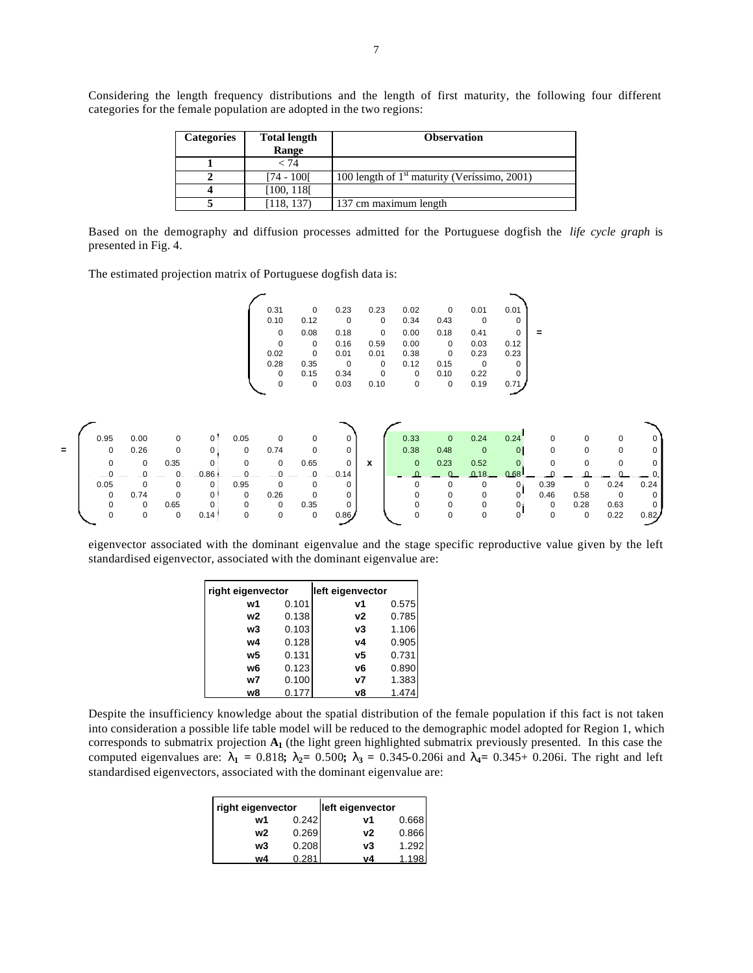Considering the length frequency distributions and the length of first maturity, the following four different categories for the female population are adopted in the two regions:

| <b>Total length</b><br><b>Categories</b> |            | <b>Observation</b>                             |  |  |
|------------------------------------------|------------|------------------------------------------------|--|--|
|                                          | Range      |                                                |  |  |
|                                          | < 74       |                                                |  |  |
|                                          | [74 - 100] | 100 length of $1st$ maturity (Veríssimo, 2001) |  |  |
| 4                                        | [100, 118] |                                                |  |  |
|                                          | 118, 137   | 137 cm maximum length                          |  |  |

Based on the demography and diffusion processes admitted for the Portuguese dogfish the *life cycle graph* is presented in Fig. 4.

The estimated projection matrix of Portuguese dogfish data is:

| 0.01     | 0.01     | $\Omega$ | 0.02 | 0.23     | 0.23     | 0        | 0.31        |  |
|----------|----------|----------|------|----------|----------|----------|-------------|--|
| $\Omega$ | $\Omega$ | 0.43     | 0.34 | 0        | $\Omega$ | 0.12     | 0.10        |  |
| $\Omega$ | 0.41     | 0.18     | 0.00 | $\Omega$ | 0.18     | 0.08     | 0           |  |
| 0.12     | 0.03     | 0        | 0.00 | 0.59     | 0.16     | 0        | 0           |  |
| 0.23     | 0.23     | $\Omega$ | 0.38 | 0.01     | 0.01     | $\Omega$ | 0.02        |  |
| $\Omega$ | $\Omega$ | 0.15     | 0.12 | $\Omega$ | $\Omega$ | 0.35     | 0.28        |  |
| $\Omega$ | 0.22     | 0.10     | 0    | 0        | 0.34     | 0.15     | $\mathbf 0$ |  |
| 0.71     | 0.19     | $\Omega$ | 0    | 0.10     | 0.03     | 0        | 0           |  |



eigenvector associated with the dominant eigenvalue and the stage specific reproductive value given by the left standardised eigenvector, associated with the dominant eigenvalue are:

| right eigenvector |       | left eigenvector |       |
|-------------------|-------|------------------|-------|
| w1                | 0.101 | v1               | 0.575 |
| w2                | 0.138 | ν2               | 0.785 |
| w3                | 0.103 | v3               | 1.106 |
| w4                | 0.128 | ν4               | 0.905 |
| w5                | 0.131 | ν5               | 0.731 |
| w6                | 0.123 | v6               | 0.890 |
| w7                | 0.100 | ν7               | 1.383 |
| w8                | 0.177 | v8               | 1.474 |

Despite the insufficiency knowledge about the spatial distribution of the female population if this fact is not taken into consideration a possible life table model will be reduced to the demographic model adopted for Region 1, which corresponds to submatrix projection **A1** (the light green highlighted submatrix previously presented. In this case the computed eigenvalues are:  $\mathbf{l}_1 = 0.818$ ;  $\mathbf{l}_2 = 0.500$ ;  $\mathbf{l}_3 = 0.345 - 0.206$ i and  $\mathbf{l}_4 = 0.345 + 0.206$ i. The right and left standardised eigenvectors, associated with the dominant eigenvalue are:

| right eigenvector |       | left eigenvector |       |
|-------------------|-------|------------------|-------|
| w1                | 0.242 | v1               | 0.668 |
| w2                | 0.269 | ν2               | 0.866 |
| w3                | 0.208 | v3               | 1.292 |
| w4                | 0.281 | vΔ               |       |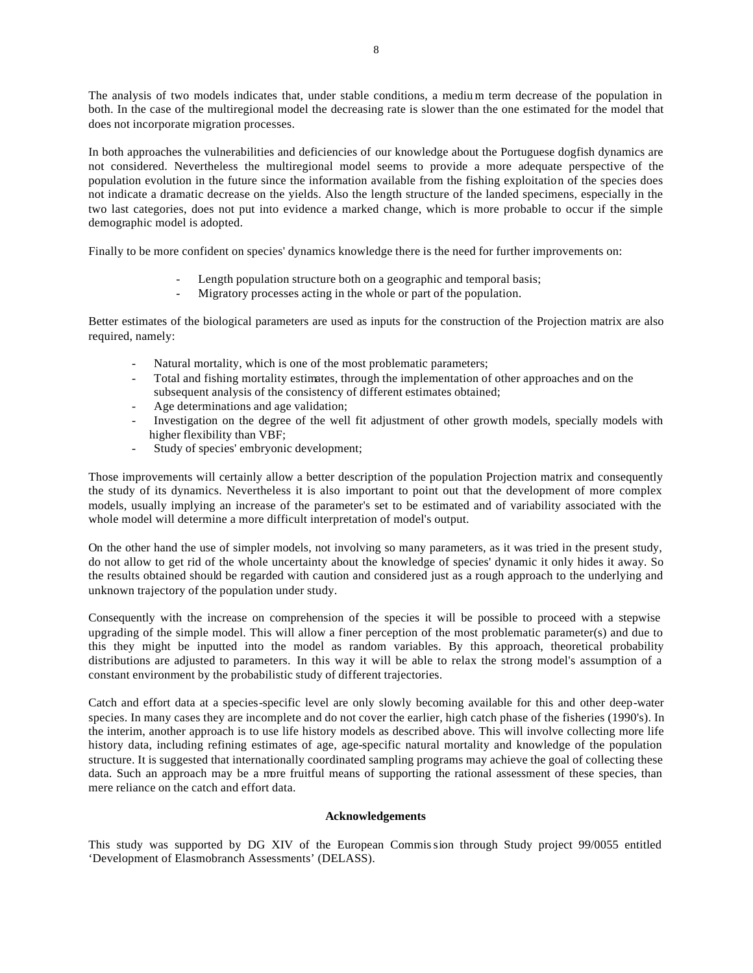The analysis of two models indicates that, under stable conditions, a mediu m term decrease of the population in both. In the case of the multiregional model the decreasing rate is slower than the one estimated for the model that does not incorporate migration processes.

In both approaches the vulnerabilities and deficiencies of our knowledge about the Portuguese dogfish dynamics are not considered. Nevertheless the multiregional model seems to provide a more adequate perspective of the population evolution in the future since the information available from the fishing exploitation of the species does not indicate a dramatic decrease on the yields. Also the length structure of the landed specimens, especially in the two last categories, does not put into evidence a marked change, which is more probable to occur if the simple demographic model is adopted.

Finally to be more confident on species' dynamics knowledge there is the need for further improvements on:

- Length population structure both on a geographic and temporal basis;
- Migratory processes acting in the whole or part of the population.

Better estimates of the biological parameters are used as inputs for the construction of the Projection matrix are also required, namely:

- Natural mortality, which is one of the most problematic parameters;
- Total and fishing mortality estimates, through the implementation of other approaches and on the subsequent analysis of the consistency of different estimates obtained;
- Age determinations and age validation;
- Investigation on the degree of the well fit adjustment of other growth models, specially models with higher flexibility than VBF;
- Study of species' embryonic development;

Those improvements will certainly allow a better description of the population Projection matrix and consequently the study of its dynamics. Nevertheless it is also important to point out that the development of more complex models, usually implying an increase of the parameter's set to be estimated and of variability associated with the whole model will determine a more difficult interpretation of model's output.

On the other hand the use of simpler models, not involving so many parameters, as it was tried in the present study, do not allow to get rid of the whole uncertainty about the knowledge of species' dynamic it only hides it away. So the results obtained should be regarded with caution and considered just as a rough approach to the underlying and unknown trajectory of the population under study.

Consequently with the increase on comprehension of the species it will be possible to proceed with a stepwise upgrading of the simple model. This will allow a finer perception of the most problematic parameter(s) and due to this they might be inputted into the model as random variables. By this approach, theoretical probability distributions are adjusted to parameters. In this way it will be able to relax the strong model's assumption of a constant environment by the probabilistic study of different trajectories.

Catch and effort data at a species-specific level are only slowly becoming available for this and other deep-water species. In many cases they are incomplete and do not cover the earlier, high catch phase of the fisheries (1990's). In the interim, another approach is to use life history models as described above. This will involve collecting more life history data, including refining estimates of age, age-specific natural mortality and knowledge of the population structure. It is suggested that internationally coordinated sampling programs may achieve the goal of collecting these data. Such an approach may be a more fruitful means of supporting the rational assessment of these species, than mere reliance on the catch and effort data.

### **Acknowledgements**

This study was supported by DG XIV of the European Commission through Study project 99/0055 entitled 'Development of Elasmobranch Assessments' (DELASS).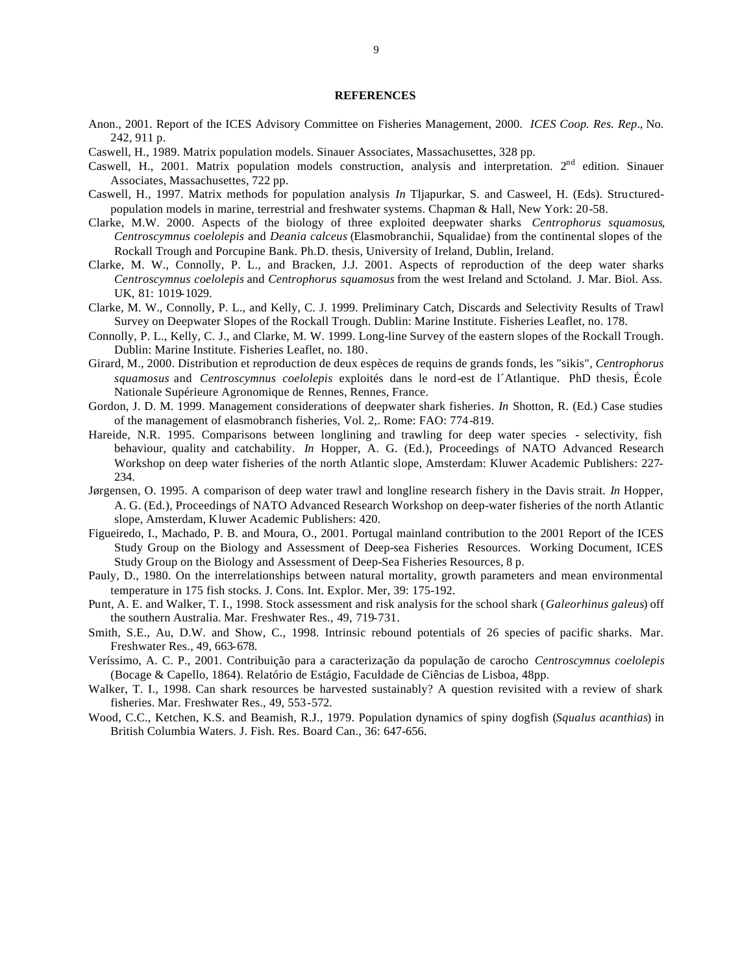### **REFERENCES**

- Anon., 2001. Report of the ICES Advisory Committee on Fisheries Management, 2000. *ICES Coop. Res. Rep*., No. 242, 911 p.
- Caswell, H., 1989. Matrix population models. Sinauer Associates, Massachusettes, 328 pp.
- Caswell, H., 2001. Matrix population models construction, analysis and interpretation. 2<sup>nd</sup> edition. Sinauer Associates, Massachusettes, 722 pp.
- Caswell, H., 1997. Matrix methods for population analysis *In* Tljapurkar, S. and Casweel, H. (Eds). Structuredpopulation models in marine, terrestrial and freshwater systems. Chapman & Hall, New York: 20-58.
- Clarke, M.W. 2000. Aspects of the biology of three exploited deepwater sharks *Centrophorus squamosus*, *Centroscymnus coelolepis* and *Deania calceus* (Elasmobranchii, Squalidae) from the continental slopes of the Rockall Trough and Porcupine Bank. Ph.D. thesis, University of Ireland, Dublin, Ireland.
- Clarke, M. W., Connolly, P. L., and Bracken, J.J. 2001. Aspects of reproduction of the deep water sharks *Centroscymnus coelolepis* and *Centrophorus squamosus* from the west Ireland and Sctoland. J. Mar. Biol. Ass. UK, 81: 1019-1029.
- Clarke, M. W., Connolly, P. L., and Kelly, C. J. 1999. Preliminary Catch, Discards and Selectivity Results of Trawl Survey on Deepwater Slopes of the Rockall Trough. Dublin: Marine Institute. Fisheries Leaflet, no. 178.
- Connolly, P. L., Kelly, C. J., and Clarke, M. W. 1999. Long-line Survey of the eastern slopes of the Rockall Trough. Dublin: Marine Institute. Fisheries Leaflet, no. 180.
- Girard, M., 2000. Distribution et reproduction de deux espèces de requins de grands fonds, les "sikis", *Centrophorus squamosus* and *Centroscymnus coelolepis* exploités dans le nord-est de l´Atlantique. PhD thesis, École Nationale Supérieure Agronomique de Rennes, Rennes, France.
- Gordon, J. D. M. 1999. Management considerations of deepwater shark fisheries. *In* Shotton, R. (Ed.) Case studies of the management of elasmobranch fisheries, Vol. 2,. Rome: FAO: 774-819.
- Hareide, N.R. 1995. Comparisons between longlining and trawling for deep water species selectivity, fish behaviour, quality and catchability. *In* Hopper, A. G. (Ed.), Proceedings of NATO Advanced Research Workshop on deep water fisheries of the north Atlantic slope, Amsterdam: Kluwer Academic Publishers: 227- 234.
- Jørgensen, O. 1995. A comparison of deep water trawl and longline research fishery in the Davis strait. *In* Hopper, A. G. (Ed.), Proceedings of NATO Advanced Research Workshop on deep-water fisheries of the north Atlantic slope, Amsterdam, Kluwer Academic Publishers: 420.
- Figueiredo, I., Machado, P. B. and Moura, O., 2001. Portugal mainland contribution to the 2001 Report of the ICES Study Group on the Biology and Assessment of Deep-sea Fisheries Resources. Working Document, ICES Study Group on the Biology and Assessment of Deep-Sea Fisheries Resources, 8 p.
- Pauly, D., 1980. On the interrelationships between natural mortality, growth parameters and mean environmental temperature in 175 fish stocks. J. Cons. Int. Explor. Mer, 39: 175-192.
- Punt, A. E. and Walker, T. I., 1998. Stock assessment and risk analysis for the school shark (*Galeorhinus galeus*) off the southern Australia. Mar. Freshwater Res., 49, 719-731.
- Smith, S.E., Au, D.W. and Show, C., 1998. Intrinsic rebound potentials of 26 species of pacific sharks. Mar. Freshwater Res., 49, 663-678.
- Veríssimo, A. C. P., 2001. Contribuição para a caracterização da população de carocho *Centroscymnus coelolepis* (Bocage & Capello, 1864). Relatório de Estágio, Faculdade de Ciências de Lisboa, 48pp.
- Walker, T. I., 1998. Can shark resources be harvested sustainably? A question revisited with a review of shark fisheries. Mar. Freshwater Res., 49, 553-572.
- Wood, C.C., Ketchen, K.S. and Beamish, R.J., 1979. Population dynamics of spiny dogfish (*Squalus acanthias*) in British Columbia Waters. J. Fish. Res. Board Can., 36: 647-656.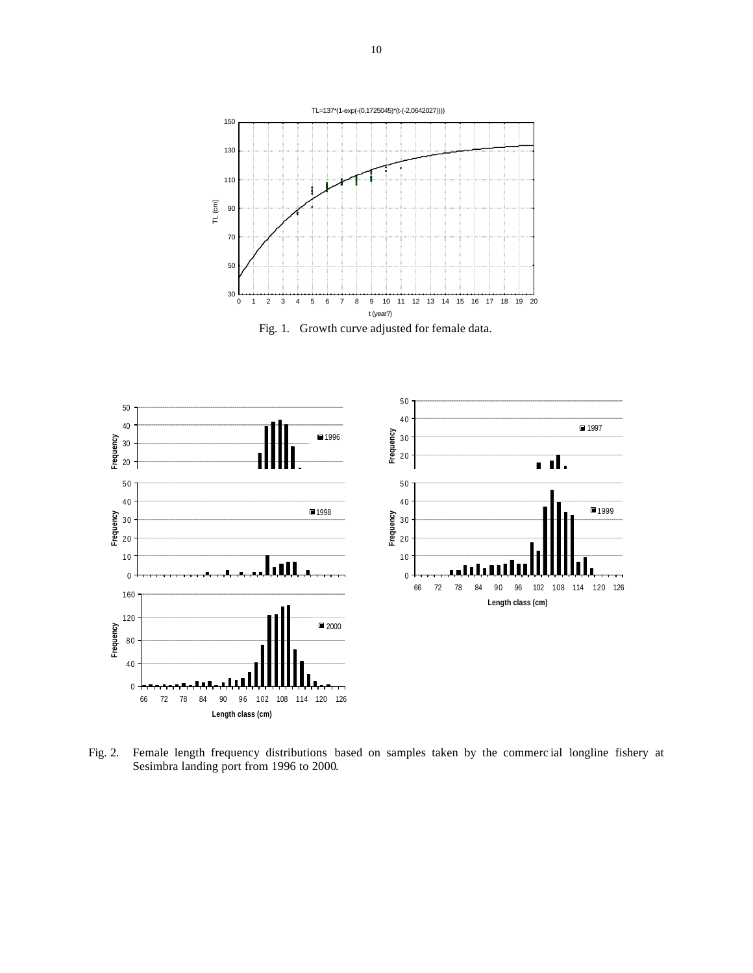

Fig. 1.Growth curve adjusted for female data.



Fig. 2. Female length frequency distributions based on samples taken by the commerc ial longline fishery at Sesimbra landing port from 1996 to 2000.